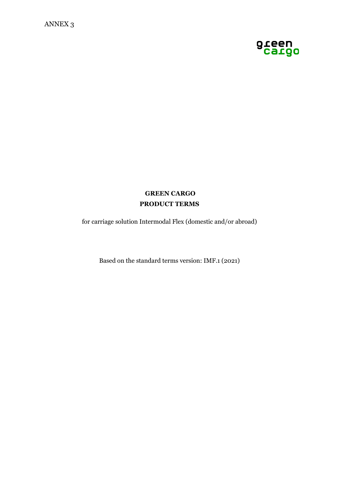

# **GREEN CARGO PRODUCT TERMS**

for carriage solution Intermodal Flex (domestic and/or abroad)

Based on the standard terms version: IMF.1 (2021)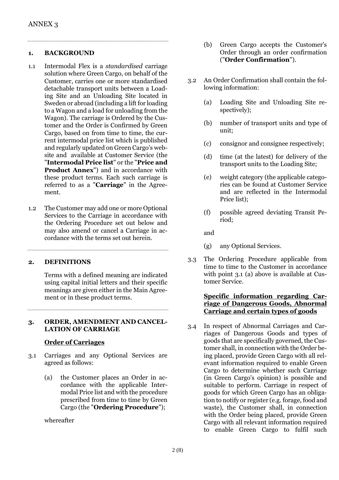#### **1. BACKGROUND**

- 1.1 Intermodal Flex is a *standardised* carriage solution where Green Cargo, on behalf of the Customer, carries one or more standardised detachable transport units between a Loading Site and an Unloading Site located in Sweden or abroad (including a lift for loading to a Wagon and a load for unloading from the Wagon). The carriage is Ordered by the Customer and the Order is Confirmed by Green Cargo, based on from time to time, the current intermodal price list which is published and regularly updated on Green Cargo's website and available at Customer Service (the "**Intermodal Price list**" or the "**Price and Product Annex**") and in accordance with these product terms. Each such carriage is referred to as a "**Carriage**" in the Agreement.
- 1.2 The Customer may add one or more Optional Services to the Carriage in accordance with the Ordering Procedure set out below and may also amend or cancel a Carriage in accordance with the terms set out herein.

#### **2. DEFINITIONS**

Terms with a defined meaning are indicated using capital initial letters and their specific meanings are given either in the Main Agreement or in these product terms.

#### **3. ORDER, AMENDMENT AND CANCEL-LATION OF CARRIAGE**

#### **Order of Carriages**

- 3.1 Carriages and any Optional Services are agreed as follows:
	- (a) the Customer places an Order in accordance with the applicable Intermodal Price list and with the procedure prescribed from time to time by Green Cargo (the "**Ordering Procedure**");

whereafter

- (b) Green Cargo accepts the Customer's Order through an order confirmation ("**Order Confirmation**").
- 3.2 An Order Confirmation shall contain the following information:
	- (a) Loading Site and Unloading Site respectively);
	- (b) number of transport units and type of unit;
	- (c) consignor and consignee respectively;
	- (d) time (at the latest) for delivery of the transport units to the Loading Site;
	- (e) weight category (the applicable categories can be found at Customer Service and are reflected in the Intermodal Price list);
	- (f) possible agreed deviating Transit Period;

and

- (g) any Optional Services.
- 3.3 The Ordering Procedure applicable from time to time to the Customer in accordance with point 3.1 (a) above is available at Customer Service.

#### **Specific information regarding Carriage of Dangerous Goods, Abnormal Carriage and certain types of goods**

3.4 In respect of Abnormal Carriages and Carriages of Dangerous Goods and types of goods that are specifically governed, the Customer shall, in connection with the Order being placed, provide Green Cargo with all relevant information required to enable Green Cargo to determine whether such Carriage (in Green Cargo's opinion) is possible and suitable to perform. Carriage in respect of goods for which Green Cargo has an obligation to notify or register (e.g. forage, food and waste), the Customer shall, in connection with the Order being placed, provide Green Cargo with all relevant information required to enable Green Cargo to fulfil such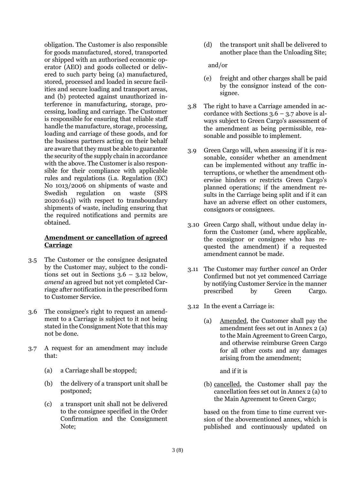obligation. The Customer is also responsible for goods manufactured, stored, transported or shipped with an authorised economic operator (AEO) and goods collected or delivered to such party being (a) manufactured, stored, processed and loaded in secure facilities and secure loading and transport areas, and (b) protected against unauthorized interference in manufacturing, storage, processing, loading and carriage. The Customer is responsible for ensuring that reliable staff handle the manufacture, storage, processing, loading and carriage of these goods, and for the business partners acting on their behalf are aware that they must be able to guarantee the security of the supply chain in accordance with the above. The Customer is also responsible for their compliance with applicable rules and regulations (i.a. Regulation (EC) No 1013/2006 on shipments of waste and Swedish regulation on waste (SFS 2020:614)) with respect to transboundary shipments of waste, including ensuring that the required notifications and permits are obtained.

## **Amendment or cancellation of agreed Carriage**

- 3.5 The Customer or the consignee designated by the Customer may, subject to the conditions set out in Sections  $3.6 - 3.12$  below, *amend* an agreed but not yet completed Carriage after notification in the prescribed form to Customer Service.
- 3.6 The consignee's right to request an amendment to a Carriage is subject to it not being stated in the Consignment Note that this may not be done.
- 3.7 A request for an amendment may include that:
	- (a) a Carriage shall be stopped;
	- (b) the delivery of a transport unit shall be postponed;
	- (c) a transport unit shall not be delivered to the consignee specified in the Order Confirmation and the Consignment Note;

(d) the transport unit shall be delivered to another place than the Unloading Site;

and/or

- (e) freight and other charges shall be paid by the consignor instead of the consignee.
- 3.8 The right to have a Carriage amended in accordance with Sections  $3.6 - 3.7$  above is always subject to Green Cargo's assessment of the amendment as being permissible, reasonable and possible to implement.
- 3.9 Green Cargo will, when assessing if it is reasonable, consider whether an amendment can be implemented without any traffic interruptions, or whether the amendment otherwise hinders or restricts Green Cargo's planned operations; if the amendment results in the Carriage being split and if it can have an adverse effect on other customers, consignors or consignees.
- 3.10 Green Cargo shall, without undue delay inform the Customer (and, where applicable, the consignor or consignee who has requested the amendment) if a requested amendment cannot be made.
- 3.11 The Customer may further *cancel* an Order Confirmed but not yet commenced Carriage by notifying Customer Service in the manner prescribed by Green Cargo.
- 3.12 In the event a Carriage is:
	- (a) Amended, the Customer shall pay the amendment fees set out in Annex 2 (a) to the Main Agreement to Green Cargo, and otherwise reimburse Green Cargo for all other costs and any damages arising from the amendment;

and if it is

(b) cancelled, the Customer shall pay the cancellation fees set out in Annex 2 (a) to the Main Agreement to Green Cargo;

based on the from time to time current version of the abovementioned annex, which is published and continuously updated on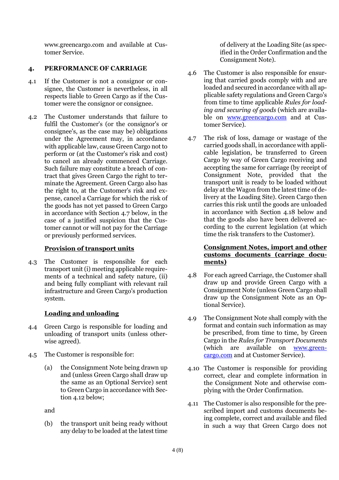www.greencargo.com and available at Customer Service.

### **4. PERFORMANCE OF CARRIAGE**

- 4.1 If the Customer is not a consignor or consignee, the Customer is nevertheless, in all respects liable to Green Cargo as if the Customer were the consignor or consignee.
- 4.2 The Customer understands that failure to fulfil the Customer's (or the consignor's or consignee's, as the case may be) obligations under the Agreement may, in accordance with applicable law, cause Green Cargo not to perform or (at the Customer's risk and cost) to cancel an already commenced Carriage. Such failure may constitute a breach of contract that gives Green Cargo the right to terminate the Agreement. Green Cargo also has the right to, at the Customer's risk and expense, cancel a Carriage for which the risk of the goods has not yet passed to Green Cargo in accordance with Section 4.7 below, in the case of a justified suspicion that the Customer cannot or will not pay for the Carriage or previously performed services.

#### **Provision of transport units**

4.3 The Customer is responsible for each transport unit (i) meeting applicable requirements of a technical and safety nature, (ii) and being fully compliant with relevant rail infrastructure and Green Cargo's production system.

## **Loading and unloading**

- 4.4 Green Cargo is responsible for loading and unloading of transport units (unless otherwise agreed).
- 4.5 The Customer is responsible for:
	- (a) the Consignment Note being drawn up and (unless Green Cargo shall draw up the same as an Optional Service) sent to Green Cargo in accordance with Section 4.12 below;

and

(b) the transport unit being ready without any delay to be loaded at the latest time of delivery at the Loading Site (as specified in the Order Confirmation and the Consignment Note).

- 4.6 The Customer is also responsible for ensuring that carried goods comply with and are loaded and secured in accordance with all applicable safety regulations and Green Cargo's from time to time applicable *Rules for loading and securing of goods* (which are available on [www.greencargo.com](http://www.greencargo.com/) and at Customer Service).
- 4.7 The risk of loss, damage or wastage of the carried goods shall, in accordance with applicable legislation, be transferred to Green Cargo by way of Green Cargo receiving and accepting the same for carriage (by receipt of Consignment Note, provided that the transport unit is ready to be loaded without delay at the Wagon from the latest time of delivery at the Loading Site). Green Cargo then carries this risk until the goods are unloaded in accordance with Section 4.18 below and that the goods also have been delivered according to the current legislation (at which time the risk transfers to the Customer).

#### **Consignment Notes, import and other customs documents (carriage documents)**

- 4.8 For each agreed Carriage, the Customer shall draw up and provide Green Cargo with a Consignment Note (unless Green Cargo shall draw up the Consignment Note as an Optional Service).
- 4.9 The Consignment Note shall comply with the format and contain such information as may be prescribed, from time to time, by Green Cargo in the *Rules for Transport Documents* (which are available on [www.green](http://www.greencargo.com/)[cargo.com](http://www.greencargo.com/) and at Customer Service).
- 4.10 The Customer is responsible for providing correct, clear and complete information in the Consignment Note and otherwise complying with the Order Confirmation.
- 4.11 The Customer is also responsible for the prescribed import and customs documents being complete, correct and available and filed in such a way that Green Cargo does not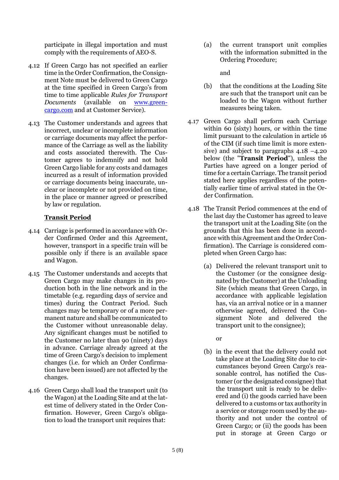participate in illegal importation and must comply with the requirements of AEO-S.

- 4.12 If Green Cargo has not specified an earlier time in the Order Confirmation, the Consignment Note must be delivered to Green Cargo at the time specified in Green Cargo's from time to time applicable *Rules for Transport Documents* (available on [www.green](http://www.greencargo.com/)[cargo.com](http://www.greencargo.com/) and at Customer Service).
- 4.13 The Customer understands and agrees that incorrect, unclear or incomplete information or carriage documents may affect the performance of the Carriage as well as the liability and costs associated therewith. The Customer agrees to indemnify and not hold Green Cargo liable for any costs and damages incurred as a result of information provided or carriage documents being inaccurate, unclear or incomplete or not provided on time, in the place or manner agreed or prescribed by law or regulation.

### **Transit Period**

- 4.14 Carriage is performed in accordance with Order Confirmed Order and this Agreement, however, transport in a specific train will be possible only if there is an available space and Wagon.
- 4.15 The Customer understands and accepts that Green Cargo may make changes in its production both in the line network and in the timetable (e.g. regarding days of service and times) during the Contract Period. Such changes may be temporary or of a more permanent nature and shall be communicated to the Customer without unreasonable delay. Any significant changes must be notified to the Customer no later than 90 (ninety) days in advance. Carriage already agreed at the time of Green Cargo's decision to implement changes (i.e. for which an Order Confirmation have been issued) are not affected by the changes.
- 4.16 Green Cargo shall load the transport unit (to the Wagon) at the Loading Site and at the latest time of delivery stated in the Order Confirmation. However, Green Cargo's obligation to load the transport unit requires that:

(a) the current transport unit complies with the information submitted in the Ordering Procedure;

and

- (b) that the conditions at the Loading Site are such that the transport unit can be loaded to the Wagon without further measures being taken.
- 4.17 Green Cargo shall perform each Carriage within 60 (sixty) hours, or within the time limit pursuant to the calculation in article 16 of the CIM (if such time limit is more extensive) and subject to paragraphs  $4.18 - 4.20$ below (the "**Transit Period**"), unless the Parties have agreed on a longer period of time for a certain Carriage. The transit period stated here applies regardless of the potentially earlier time of arrival stated in the Order Confirmation.
- 4.18 The Transit Period commences at the end of the last day the Customer has agreed to leave the transport unit at the Loading Site (on the grounds that this has been done in accordance with this Agreement and the Order Confirmation). The Carriage is considered completed when Green Cargo has:
	- (a) Delivered the relevant transport unit to the Customer (or the consignee designated by the Customer) at the Unloading Site (which means that Green Cargo, in accordance with applicable legislation has, via an arrival notice or in a manner otherwise agreed, delivered the Consignment Note and delivered the transport unit to the consignee);
		- or
	- (b) in the event that the delivery could not take place at the Loading Site due to circumstances beyond Green Cargo's reasonable control, has notified the Customer (or the designated consignee) that the transport unit is ready to be delivered and (i) the goods carried have been delivered to a customs or tax authority in a service or storage room used by the authority and not under the control of Green Cargo; or (ii) the goods has been put in storage at Green Cargo or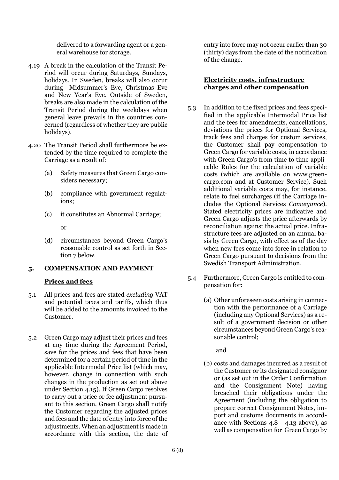delivered to a forwarding agent or a general warehouse for storage.

- 4.19 A break in the calculation of the Transit Period will occur during Saturdays, Sundays, holidays. In Sweden, breaks will also occur during Midsummer's Eve, Christmas Eve and New Year's Eve. Outside of Sweden, breaks are also made in the calculation of the Transit Period during the weekdays when general leave prevails in the countries concerned (regardless of whether they are public holidays).
- 4.20 The Transit Period shall furthermore be extended by the time required to complete the Carriage as a result of:
	- (a) Safety measures that Green Cargo considers necessary;
	- (b) compliance with government regulations;
	- (c) it constitutes an Abnormal Carriage;

or

(d) circumstances beyond Green Cargo's reasonable control as set forth in Section 7 below.

## **5. COMPENSATION AND PAYMENT**

## **Prices and fees**

- 5.1 All prices and fees are stated *excluding* VAT and potential taxes and tariffs, which thus will be added to the amounts invoiced to the Customer.
- 5.2 Green Cargo may adjust their prices and fees at any time during the Agreement Period, save for the prices and fees that have been determined for a certain period of time in the applicable Intermodal Price list (which may, however, change in connection with such changes in the production as set out above under Section 4.15). If Green Cargo resolves to carry out a price or fee adjustment pursuant to this section, Green Cargo shall notify the Customer regarding the adjusted prices and fees and the date of entry into force of the adjustments. When an adjustment is made in accordance with this section, the date of

entry into force may not occur earlier than 30 (thirty) days from the date of the notification of the change.

#### **Electricity costs, infrastructure charges and other compensation**

- 5.3 In addition to the fixed prices and fees specified in the applicable Intermodal Price list and the fees for amendments, cancellations, deviations the prices for Optional Services, track fees and charges for custom services, the Customer shall pay compensation to Green Cargo for variable costs, in accordance with Green Cargo's from time to time applicable Rules for the calculation of variable costs (which are available on www.greencargo.com and at Customer Service). Such additional variable costs may, for instance, relate to fuel surcharges (if the Carriage includes the Optional Services *Conveyance*). Stated electricity prices are indicative and Green Cargo adjusts the price afterwards by reconciliation against the actual price. Infrastructure fees are adjusted on an annual basis by Green Cargo, with effect as of the day when new fees come into force in relation to Green Cargo pursuant to decisions from the Swedish Transport Administration.
- 5.4 Furthermore, Green Cargo is entitled to compensation for:
	- (a) Other unforeseen costs arising in connection with the performance of a Carriage (including any Optional Services) as a result of a government decision or other circumstances beyond Green Cargo's reasonable control;

and

(b) costs and damages incurred as a result of the Customer or its designated consignor or (as set out in the Order Confirmation and the Consignment Note) having breached their obligations under the Agreement (including the obligation to prepare correct Consignment Notes, import and customs documents in accordance with Sections  $4.8 - 4.13$  above), as well as compensation for Green Cargo by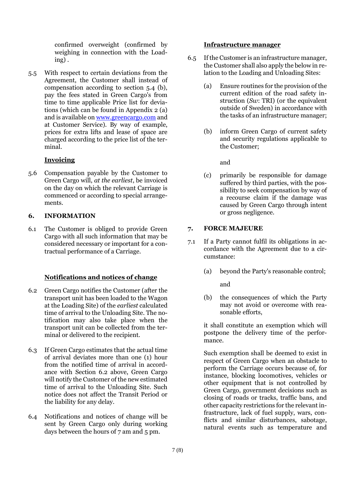confirmed overweight (confirmed by weighing in connection with the Loading) .

5.5 With respect to certain deviations from the Agreement, the Customer shall instead of compensation according to section 5.4 (b), pay the fees stated in Green Cargo's from time to time applicable Price list for deviations (which can be found in Appendix 2 (a) and is available on [www.greencargo.com](http://www.greencargo.com/) and at Customer Service). By way of example, prices for extra lifts and lease of space are charged according to the price list of the terminal.

### **Invoicing**

5.6 Compensation payable by the Customer to Green Cargo will, *at the earliest*, be invoiced on the day on which the relevant Carriage is commenced or according to special arrangements.

### **6. INFORMATION**

6.1 The Customer is obliged to provide Green Cargo with all such information that may be considered necessary or important for a contractual performance of a Carriage.

## **Notifications and notices of change**

- 6.2 Green Cargo notifies the Customer (after the transport unit has been loaded to the Wagon at the Loading Site) of the *earliest* calculated time of arrival to the Unloading Site. The notification may also take place when the transport unit can be collected from the terminal or delivered to the recipient.
- 6.3 If Green Cargo estimates that the actual time of arrival deviates more than one (1) hour from the notified time of arrival in accordance with Section 6.2 above, Green Cargo will notify the Customer of the new estimated time of arrival to the Unloading Site. Such notice does not affect the Transit Period or the liability for any delay.
- 6.4 Notifications and notices of change will be sent by Green Cargo only during working days between the hours of 7 am and 5 pm.

#### **Infrastructure manager**

- 6.5 If the Customer is an infrastructure manager, the Customer shall also apply the below in relation to the Loading and Unloading Sites:
	- (a) Ensure routines for the provision of the current edition of the road safety instruction (*Sw*: TRI) (or the equivalent outside of Sweden) in accordance with the tasks of an infrastructure manager;
	- (b) inform Green Cargo of current safety and security regulations applicable to the Customer;

and

(c) primarily be responsible for damage suffered by third parties, with the possibility to seek compensation by way of a recourse claim if the damage was caused by Green Cargo through intent or gross negligence.

## **7. FORCE MAJEURE**

- 7.1 If a Party cannot fulfil its obligations in accordance with the Agreement due to a circumstance:
	- (a) beyond the Party's reasonable control; and
	- (b) the consequences of which the Party may not avoid or overcome with reasonable efforts,

it shall constitute an exemption which will postpone the delivery time of the performance.

Such exemption shall be deemed to exist in respect of Green Cargo when an obstacle to perform the Carriage occurs because of, for instance, blocking locomotives, vehicles or other equipment that is not controlled by Green Cargo, government decisions such as closing of roads or tracks, traffic bans, and other capacity restrictions for the relevant infrastructure, lack of fuel supply, wars, conflicts and similar disturbances, sabotage, natural events such as temperature and